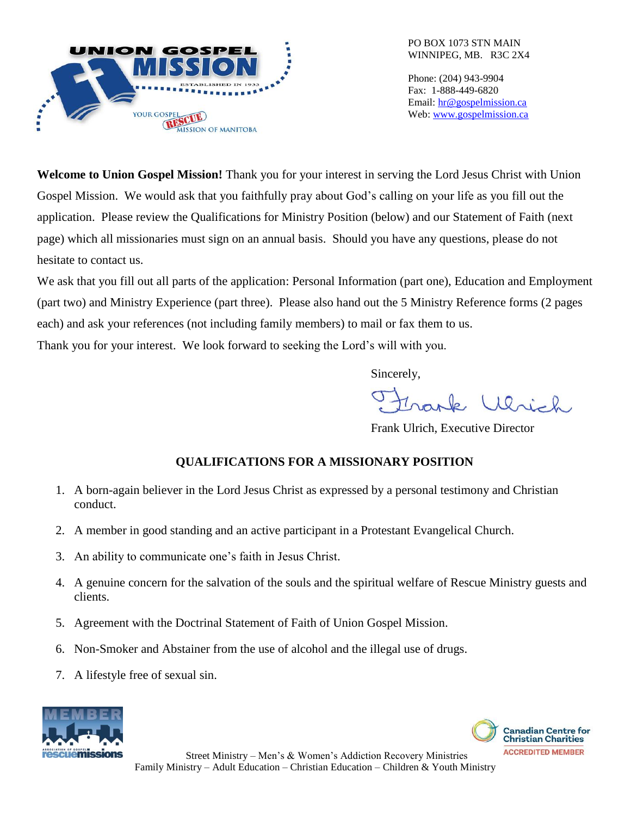

Phone: (204) 943-9904 Fax: 1-888-449-6820 Email: [hr@gospelmission.ca](mailto:hr@gospelmission.ca) Web: [www.gospelmission.ca](http://www.gospelmission.ca/)

**Welcome to Union Gospel Mission!** Thank you for your interest in serving the Lord Jesus Christ with Union Gospel Mission. We would ask that you faithfully pray about God's calling on your life as you fill out the application. Please review the Qualifications for Ministry Position (below) and our Statement of Faith (next page) which all missionaries must sign on an annual basis. Should you have any questions, please do not hesitate to contact us.

We ask that you fill out all parts of the application: Personal Information (part one), Education and Employment (part two) and Ministry Experience (part three). Please also hand out the 5 Ministry Reference forms (2 pages each) and ask your references (not including family members) to mail or fax them to us.

Thank you for your interest. We look forward to seeking the Lord's will with you.

Sincerely,

vark Ulrich

Frank Ulrich, Executive Director

# **QUALIFICATIONS FOR A MISSIONARY POSITION**

- 1. A born-again believer in the Lord Jesus Christ as expressed by a personal testimony and Christian conduct.
- 2. A member in good standing and an active participant in a Protestant Evangelical Church.
- 3. An ability to communicate one's faith in Jesus Christ.
- 4. A genuine concern for the salvation of the souls and the spiritual welfare of Rescue Ministry guests and clients.
- 5. Agreement with the Doctrinal Statement of Faith of Union Gospel Mission.
- 6. Non-Smoker and Abstainer from the use of alcohol and the illegal use of drugs.
- 7. A lifestyle free of sexual sin.





Street Ministry – Men's & Women's Addiction Recovery Ministries Family Ministry – Adult Education – Christian Education – Children & Youth Ministry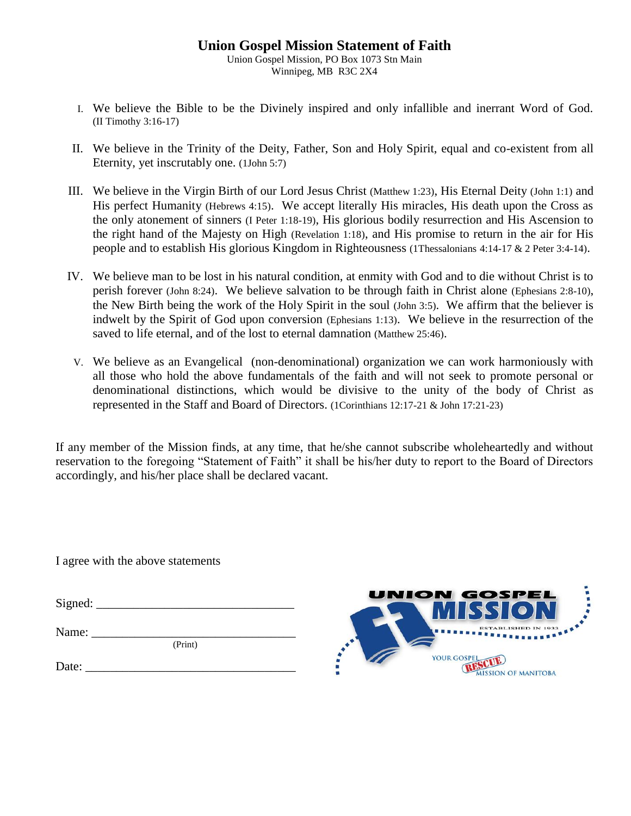## **Union Gospel Mission Statement of Faith**

Union Gospel Mission, PO Box 1073 Stn Main Winnipeg, MB R3C 2X4

- I. We believe the Bible to be the Divinely inspired and only infallible and inerrant Word of God. (II Timothy 3:16-17)
- II. We believe in the Trinity of the Deity, Father, Son and Holy Spirit, equal and co-existent from all Eternity, yet inscrutably one. (1John 5:7)
- III. We believe in the Virgin Birth of our Lord Jesus Christ (Matthew 1:23), His Eternal Deity (John 1:1) and His perfect Humanity (Hebrews 4:15). We accept literally His miracles, His death upon the Cross as the only atonement of sinners (I Peter 1:18-19), His glorious bodily resurrection and His Ascension to the right hand of the Majesty on High (Revelation 1:18), and His promise to return in the air for His people and to establish His glorious Kingdom in Righteousness (1Thessalonians 4:14-17 & 2 Peter 3:4-14).
- IV. We believe man to be lost in his natural condition, at enmity with God and to die without Christ is to perish forever (John 8:24). We believe salvation to be through faith in Christ alone (Ephesians 2:8-10), the New Birth being the work of the Holy Spirit in the soul (John 3:5). We affirm that the believer is indwelt by the Spirit of God upon conversion (Ephesians 1:13). We believe in the resurrection of the saved to life eternal, and of the lost to eternal damnation (Matthew 25:46).
- V. We believe as an Evangelical (non-denominational) organization we can work harmoniously with all those who hold the above fundamentals of the faith and will not seek to promote personal or denominational distinctions, which would be divisive to the unity of the body of Christ as represented in the Staff and Board of Directors. (1Corinthians 12:17-21 & John 17:21-23)

If any member of the Mission finds, at any time, that he/she cannot subscribe wholeheartedly and without reservation to the foregoing "Statement of Faith" it shall be his/her duty to report to the Board of Directors accordingly, and his/her place shall be declared vacant.

I agree with the above statements

 $Signed:$ 

(Print)

Name: \_\_\_\_\_\_\_\_\_\_\_\_\_\_\_\_\_\_\_\_\_\_\_\_\_\_\_\_\_\_\_\_\_

Date:  $\frac{1}{2}$ 

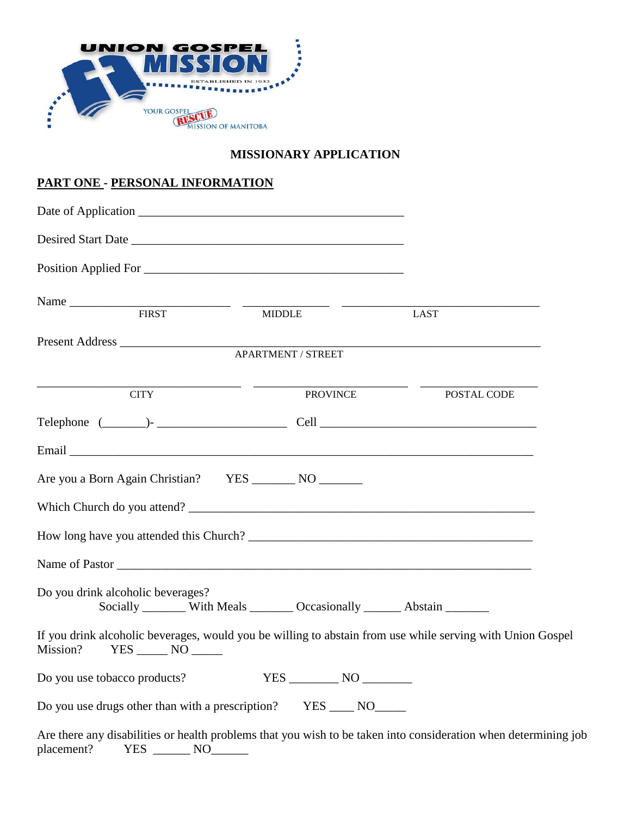

### **MISSIONARY APPLICATION**

## **PART ONE - PERSONAL INFORMATION**

| Position Applied For                                                                                                                         |                                                                            |                                                                                                                 |
|----------------------------------------------------------------------------------------------------------------------------------------------|----------------------------------------------------------------------------|-----------------------------------------------------------------------------------------------------------------|
| Name FIRST MIDDLE                                                                                                                            |                                                                            |                                                                                                                 |
|                                                                                                                                              |                                                                            | <b>LAST</b>                                                                                                     |
|                                                                                                                                              | APARTMENT / STREET                                                         |                                                                                                                 |
| <b>CITY</b>                                                                                                                                  | PROVINCE                                                                   | POSTAL CODE                                                                                                     |
|                                                                                                                                              |                                                                            |                                                                                                                 |
|                                                                                                                                              |                                                                            |                                                                                                                 |
|                                                                                                                                              |                                                                            |                                                                                                                 |
|                                                                                                                                              |                                                                            |                                                                                                                 |
|                                                                                                                                              |                                                                            |                                                                                                                 |
|                                                                                                                                              |                                                                            |                                                                                                                 |
| Do you drink alcoholic beverages?                                                                                                            | Socially ________ With Meals ________ Occasionally _______ Abstain _______ |                                                                                                                 |
| If you drink alcoholic beverages, would you be willing to abstain from use while serving with Union Gospel<br>Mission?<br>$YES$ NO $\_\_\_\$ |                                                                            |                                                                                                                 |
| Do you use tobacco products?                                                                                                                 |                                                                            |                                                                                                                 |
| Do you use drugs other than with a prescription? YES _____ NO______                                                                          |                                                                            |                                                                                                                 |
|                                                                                                                                              |                                                                            | Are there any disabilities or health problems that you wish to be taken into consideration when determining job |

placement? YES \_\_\_\_\_\_ NO\_\_\_\_\_\_\_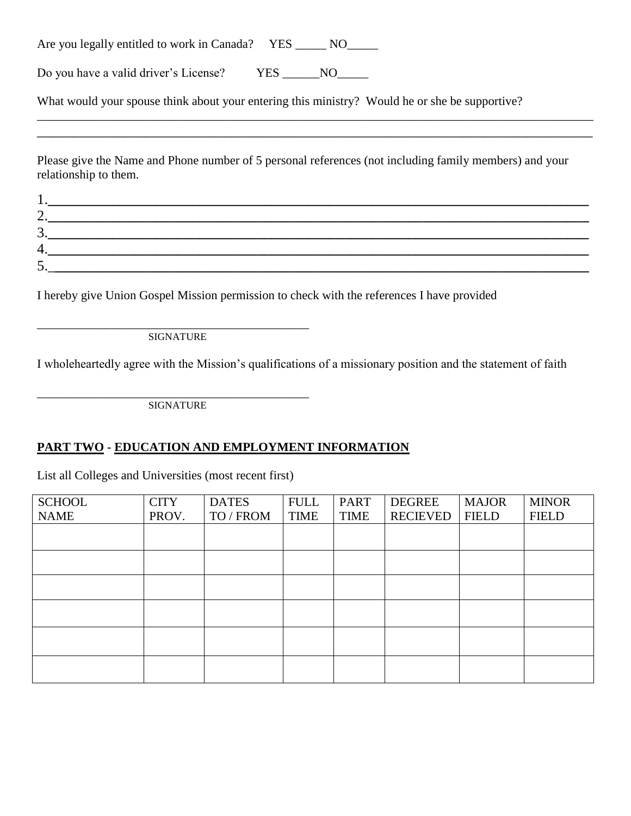| Are you legally entitled to work in Canada? YES |  | NO. |  |
|-------------------------------------------------|--|-----|--|
|-------------------------------------------------|--|-----|--|

Do you have a valid driver's License? YES NO

What would your spouse think about your entering this ministry? Would he or she be supportive?

Please give the Name and Phone number of 5 personal references (not including family members) and your relationship to them.

\_\_\_\_\_\_\_\_\_\_\_\_\_\_\_\_\_\_\_\_\_\_\_\_\_\_\_\_\_\_\_\_\_\_\_\_\_\_\_\_\_\_\_\_\_\_\_\_\_\_\_\_\_\_\_\_\_\_\_\_\_\_\_\_\_\_\_\_\_\_\_\_\_\_\_\_\_\_\_\_\_\_\_\_\_\_\_\_\_\_ \_\_\_\_\_\_\_\_\_\_\_\_\_\_\_\_\_\_\_\_\_\_\_\_\_\_\_\_\_\_\_\_\_\_\_\_\_\_\_\_\_\_\_\_\_\_\_\_\_\_\_\_\_\_\_\_\_\_\_\_\_\_\_\_\_\_\_\_\_\_\_\_\_\_\_\_\_

| .  |  |  |
|----|--|--|
| ∼. |  |  |
| J. |  |  |
|    |  |  |
| ັ  |  |  |

I hereby give Union Gospel Mission permission to check with the references I have provided

\_\_\_\_\_\_\_\_\_\_\_\_\_\_\_\_\_\_\_\_\_\_\_\_\_\_\_\_\_\_\_\_\_\_\_\_\_\_\_\_\_\_\_\_ SIGNATURE

I wholeheartedly agree with the Mission's qualifications of a missionary position and the statement of faith

\_\_\_\_\_\_\_\_\_\_\_\_\_\_\_\_\_\_\_\_\_\_\_\_\_\_\_\_\_\_\_\_\_\_\_\_\_\_\_\_\_\_\_\_ **SIGNATURE** 

#### **PART TWO - EDUCATION AND EMPLOYMENT INFORMATION**

List all Colleges and Universities (most recent first)

| <b>SCHOOL</b> | <b>CITY</b> | <b>DATES</b> | <b>FULL</b> | <b>PART</b> | DEGREE          | <b>MAJOR</b> | <b>MINOR</b> |
|---------------|-------------|--------------|-------------|-------------|-----------------|--------------|--------------|
| <b>NAME</b>   | PROV.       | TO / FROM    | <b>TIME</b> | <b>TIME</b> | <b>RECIEVED</b> | <b>FIELD</b> | <b>FIELD</b> |
|               |             |              |             |             |                 |              |              |
|               |             |              |             |             |                 |              |              |
|               |             |              |             |             |                 |              |              |
|               |             |              |             |             |                 |              |              |
|               |             |              |             |             |                 |              |              |
|               |             |              |             |             |                 |              |              |
|               |             |              |             |             |                 |              |              |
|               |             |              |             |             |                 |              |              |
|               |             |              |             |             |                 |              |              |
|               |             |              |             |             |                 |              |              |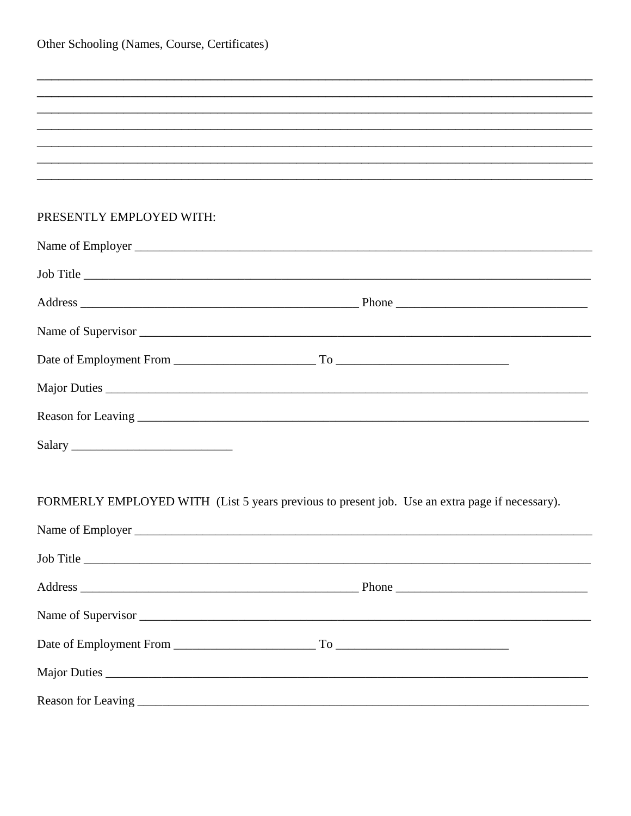### PRESENTLY EMPLOYED WITH:

|        | Job Title                                                                                      |
|--------|------------------------------------------------------------------------------------------------|
|        |                                                                                                |
|        |                                                                                                |
|        |                                                                                                |
|        |                                                                                                |
|        |                                                                                                |
| Salary |                                                                                                |
|        |                                                                                                |
|        | FORMERLY EMPLOYED WITH (List 5 years previous to present job. Use an extra page if necessary). |
|        |                                                                                                |
|        | Job Title                                                                                      |
|        |                                                                                                |
|        |                                                                                                |
|        |                                                                                                |
|        |                                                                                                |
|        |                                                                                                |